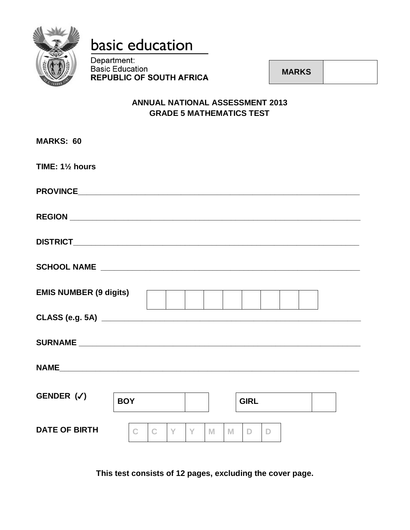

# basic education

Department: **Basic Education REPUBLIC OF SOUTH AFRICA** 

 **MARKS**

# **ANNUAL NATIONAL ASSESSMENT 2013 GRADE 5 MATHEMATICS TEST**

| <b>MARKS: 60</b>              |                                  |                   |                         |  |
|-------------------------------|----------------------------------|-------------------|-------------------------|--|
| TIME: $1\frac{1}{2}$ hours    |                                  |                   |                         |  |
|                               |                                  |                   |                         |  |
|                               |                                  |                   |                         |  |
|                               |                                  |                   |                         |  |
|                               |                                  |                   |                         |  |
| <b>EMIS NUMBER (9 digits)</b> |                                  |                   |                         |  |
|                               |                                  |                   |                         |  |
|                               |                                  |                   |                         |  |
|                               |                                  |                   |                         |  |
| GENDER $(\checkmark)$         | <b>BOY</b>                       |                   | <b>GIRL</b>             |  |
| <b>DATE OF BIRTH</b>          | $\mathbf C$<br>$\mathbb{C}$<br>Y | $\mathbf{Y}$<br>M | M<br>$\mathbf{D}$<br>D. |  |

**This test consists of 12 pages, excluding the cover page.**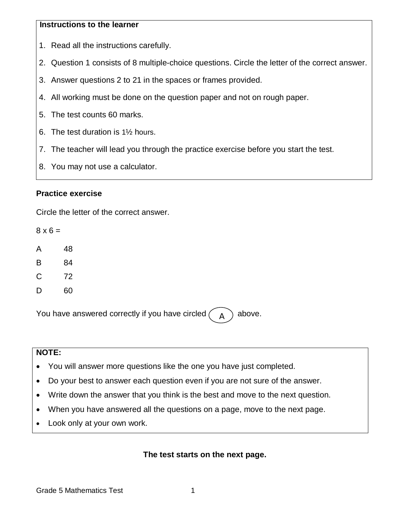#### **Instructions to the learner**

- 1. Read all the instructions carefully.
- 2. Question 1 consists of 8 multiple-choice questions. Circle the letter of the correct answer.
- 3. Answer questions 2 to 21 in the spaces or frames provided.
- 4. All working must be done on the question paper and not on rough paper.
- 5. The test counts 60 marks.
- 6. The test duration is 1½ hours.
- 7. The teacher will lead you through the practice exercise before you start the test.
- 8. You may not use a calculator.

# **Practice exercise**

Circle the letter of the correct answer.

- $8 \times 6 =$
- A 48
- B 84
- C 72
- D 60

You have answered correctly if you have circled  $\begin{pmatrix} 0 & \Delta \end{pmatrix}$  above. A

#### **NOTE:**

- You will answer more questions like the one you have just completed.
- Do your best to answer each question even if you are not sure of the answer.
- Write down the answer that you think is the best and move to the next question.
- When you have answered all the questions on a page, move to the next page.
- Look only at your own work.

**The test starts on the next page.**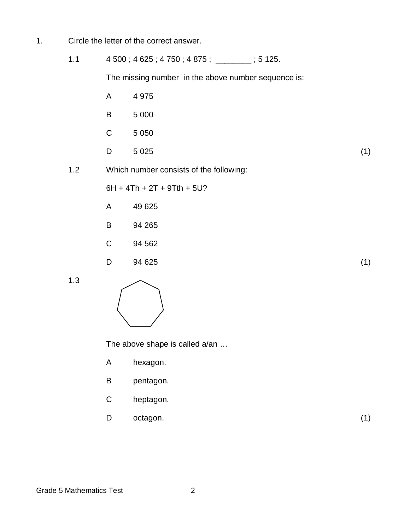- 1. Circle the letter of the correct answer.
	- 1.1 4 500 ; 4 625 ; 4 750 ; 4 875 ; \_\_\_\_\_\_\_\_\_ ; 5 125.

The missing number in the above number sequence is:

- A 4 975
- B 5 000
- C 5 050
- D  $5025$  (1)
- 1.2 Which number consists of the following:

 $6H + 4Th + 2T + 9Tth + 5U?$ 

- A 49 625
- B 94 265
- C 94 562
- D 94 625 (1)

1.3



The above shape is called a/an …

- A hexagon.
- B pentagon.
- C heptagon.
- D octagon. (1)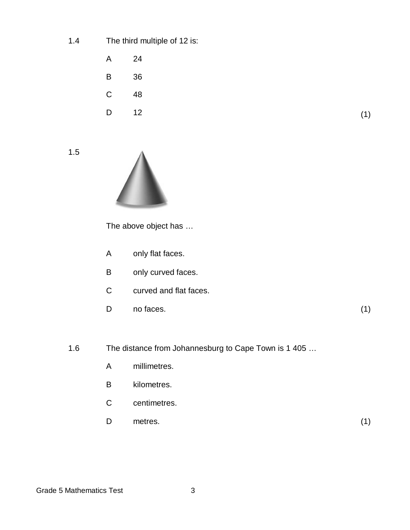1.4 The third multiple of 12 is:

A B C D 24 36 48

 $12$  (1)

# 1.5



The above object has …

- A only flat faces.
- B only curved faces.
- C curved and flat faces.
- D no faces. (1)
- 1.6 The distance from Johannesburg to Cape Town is 1 405 …
	- A millimetres.
	- B kilometres.
	- C centimetres.
	- D metres. (1)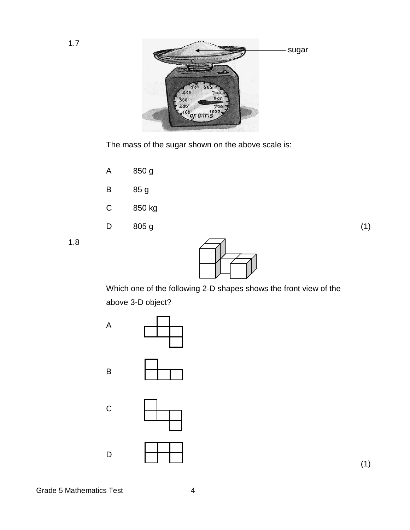

The mass of the sugar shown on the above scale is:

- A 850 g
- B 85 g
- C 850 kg
- $\mathsf D$  $805 g$  (1)

1.8

1.7



Which one of the following 2-D shapes shows the front view of the above 3-D object?

A



B

C



D

(1)

Grade 5 Mathematics Test 4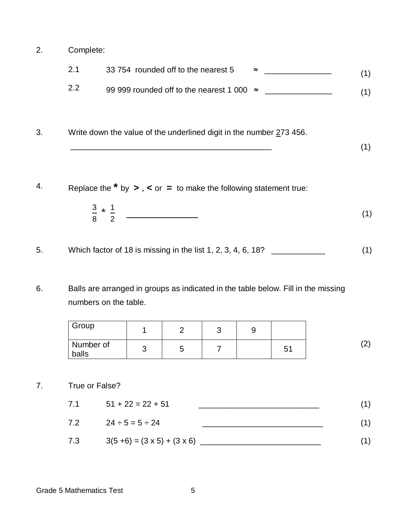2. Complete: 3. Write down the value of the underlined digit in the number 273 456.  $\overline{\phantom{a}}$  (1) 2.1 2.2  $33754$  rounded off to the nearest  $5 \approx$ 99 999 rounded off to the nearest 1 000  $\approx$  \_\_\_\_\_\_\_\_\_\_\_\_\_\_ (1) (1)

4. Replace the **\*** by **>** , **<** or **=** to make the following statement true:

$$
\frac{3}{8} \times \frac{1}{2} \quad \qquad (1)
$$

- 5. Which factor of 18 is missing in the list 1, 2, 3, 4, 6, 18? \_\_\_\_\_\_\_\_\_\_\_\_\_\_\_\_
- 6. Balls are arranged in groups as indicated in the table below. Fill in the missing numbers on the table.

| Group              |   |  |         |  |
|--------------------|---|--|---------|--|
| Number of<br>balls | 5 |  | г,<br>ິ |  |

7. True or False?

| 7.1 | $51 + 22 = 22 + 51$                    |  |
|-----|----------------------------------------|--|
| 7.2 | $24 \div 5 = 5 \div 24$                |  |
| 7.3 | $3(5+6) = (3 \times 5) + (3 \times 6)$ |  |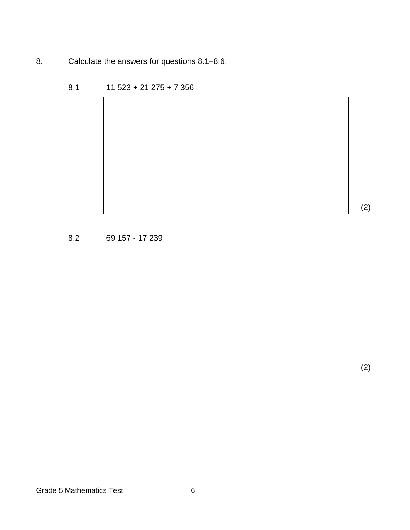- 8. Calculate the answers for questions 8.1–8.6.
	-
	- $8.1$  11 523 + 21 275 + 7 356

# 8.2 69 157 - 17 239



(2)

(2)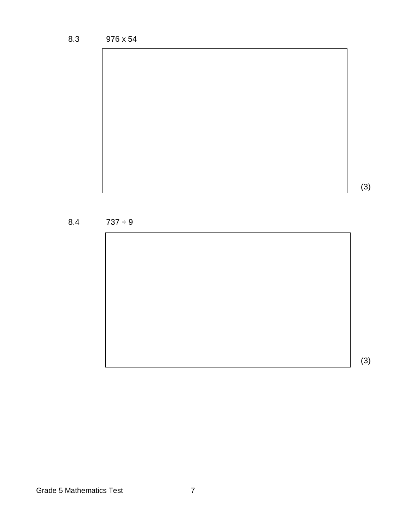(3)

8.4  $737 \div 9$ 

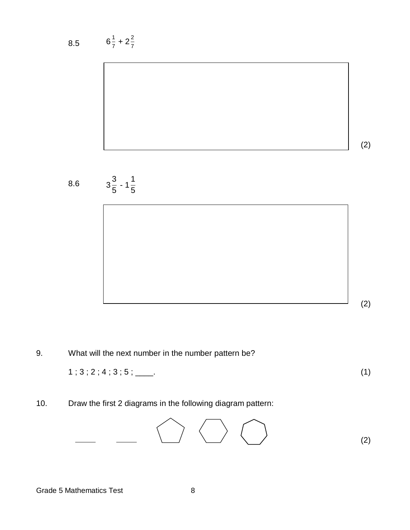(2)

 $8.6$ 

3

1



9. What will the next number in the number pattern be?

 $1$ ;  $3$ ;  $2$ ;  $4$ ;  $3$ ;  $5$ ; \_\_\_\_. (1)

10. Draw the first 2 diagrams in the following diagram pattern:

$$
\begin{array}{ccc} & \circ & \circ & \circ & \circ \\ & & \circ & \circ & \circ \end{array}
$$
 (2)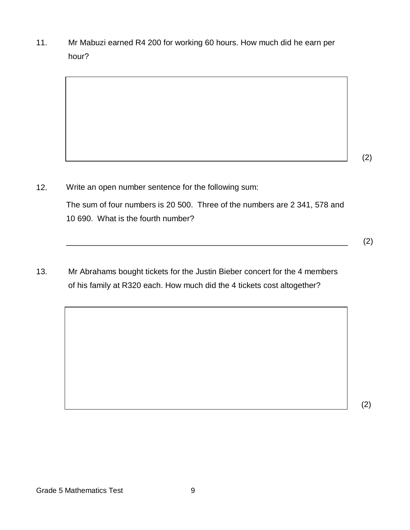11. Mr Mabuzi earned R4 200 for working 60 hours. How much did he earn per hour?

(2)

12. Write an open number sentence for the following sum: The sum of four numbers is 20 500. Three of the numbers are 2 341, 578 and 10 690. What is the fourth number?

\_\_\_\_\_\_\_\_\_\_\_\_\_\_\_\_\_\_\_\_\_\_\_\_\_\_\_\_\_\_\_\_\_\_\_\_\_\_\_\_\_\_\_\_\_\_\_\_\_\_\_\_\_\_\_\_\_\_\_\_\_\_\_ (2)

13. Mr Abrahams bought tickets for the Justin Bieber concert for the 4 members of his family at R320 each. How much did the 4 tickets cost altogether?

(2)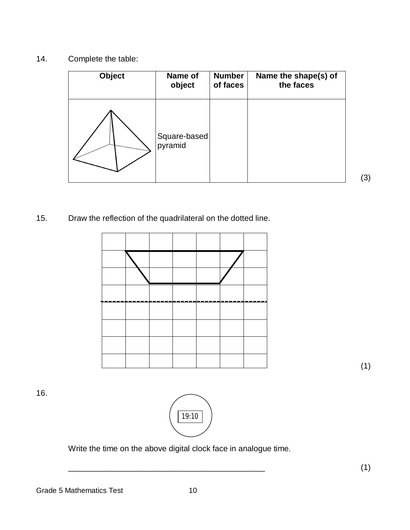14. Complete the table:

| <b>Object</b> | Name of                 | <b>Number</b> | Name the shape(s) of |
|---------------|-------------------------|---------------|----------------------|
|               | object                  | of faces      | the faces            |
|               | Square-based<br>pyramid |               |                      |

15. Draw the reflection of the quadrilateral on the dotted line.



(1)

(3)

16.



Write the time on the above digital clock face in analogue time.

Grade 5 Mathematics Test 10

 $\hspace{2cm} (1)$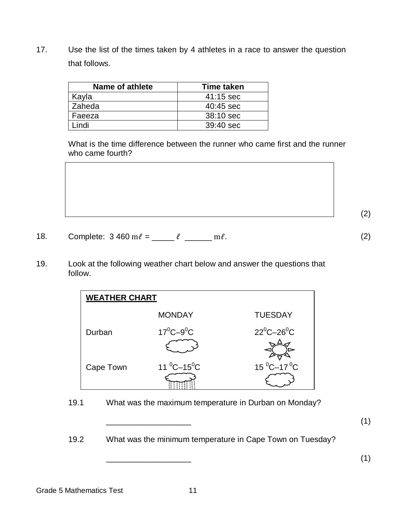17. Use the list of the times taken by 4 athletes in a race to answer the question that follows.

| Name of athlete | <b>Time taken</b> |
|-----------------|-------------------|
| Kayla           | 41:15 sec         |
| Zaheda          | 40:45 sec         |
| Faeeza          | 38:10 sec         |
| . indi          | 39:40 sec         |

What is the time difference between the runner who came first and the runner who came fourth?

18. Complete:  $3\,460\,\mathrm{m}\ell = \underline{\hspace{1cm}}\ell \underline{\hspace{1cm}} m\ell$ . (2)

19. Look at the following weather chart below and answer the questions that follow.

| <b>WEATHER CHART</b> |                     |                              |  |  |
|----------------------|---------------------|------------------------------|--|--|
|                      | <b>MONDAY</b>       | <b>TUESDAY</b>               |  |  |
| Durban               | $17^0C - 9^0C$      | $22^0C - 26^0C$              |  |  |
|                      |                     |                              |  |  |
| Cape Town            | 11 $^0$ C-15 $^0$ C | $15^{0}$ C-17 <sup>0</sup> C |  |  |
|                      |                     |                              |  |  |

19.1 What was the maximum temperature in Durban on Monday?

19.2 What was the minimum temperature in Cape Town on Tuesday?

 $\qquad \qquad \textbf{(1)}$ 

Grade 5 Mathematics Test 11

(2)

 $\qquad \qquad \textbf{(1)}$